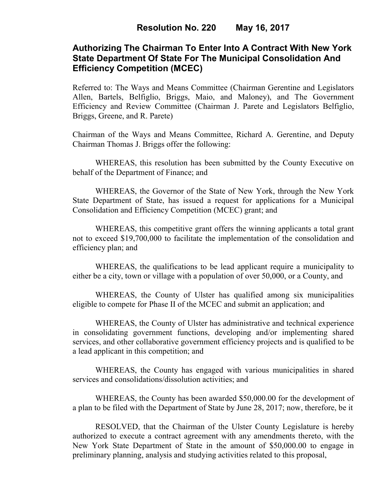# **Authorizing The Chairman To Enter Into A Contract With New York State Department Of State For The Municipal Consolidation And Efficiency Competition (MCEC)**

Referred to: The Ways and Means Committee (Chairman Gerentine and Legislators Allen, Bartels, Belfiglio, Briggs, Maio, and Maloney), and The Government Efficiency and Review Committee (Chairman J. Parete and Legislators Belfiglio, Briggs, Greene, and R. Parete)

Chairman of the Ways and Means Committee, Richard A. Gerentine, and Deputy Chairman Thomas J. Briggs offer the following:

WHEREAS, this resolution has been submitted by the County Executive on behalf of the Department of Finance; and

WHEREAS, the Governor of the State of New York, through the New York State Department of State, has issued a request for applications for a Municipal Consolidation and Efficiency Competition (MCEC) grant; and

WHEREAS, this competitive grant offers the winning applicants a total grant not to exceed \$19,700,000 to facilitate the implementation of the consolidation and efficiency plan; and

WHEREAS, the qualifications to be lead applicant require a municipality to either be a city, town or village with a population of over 50,000, or a County, and

WHEREAS, the County of Ulster has qualified among six municipalities eligible to compete for Phase II of the MCEC and submit an application; and

WHEREAS, the County of Ulster has administrative and technical experience in consolidating government functions, developing and/or implementing shared services, and other collaborative government efficiency projects and is qualified to be a lead applicant in this competition; and

WHEREAS, the County has engaged with various municipalities in shared services and consolidations/dissolution activities; and

WHEREAS, the County has been awarded \$50,000.00 for the development of a plan to be filed with the Department of State by June 28, 2017; now, therefore, be it

RESOLVED, that the Chairman of the Ulster County Legislature is hereby authorized to execute a contract agreement with any amendments thereto, with the New York State Department of State in the amount of \$50,000.00 to engage in preliminary planning, analysis and studying activities related to this proposal,